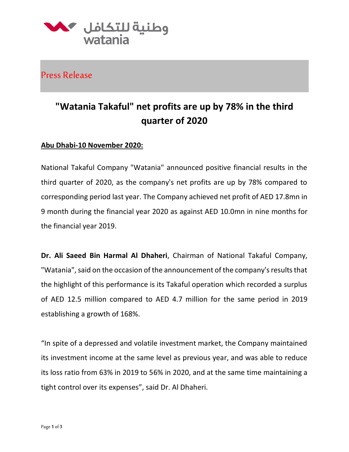

Press Release

## **"Watania Takaful" net profits are up by 78% in the third quarter of 2020**

## **Abu Dhabi-10 November 2020:**

National Takaful Company "Watania" announced positive financial results in the third quarter of 2020, as the company's net profits are up by 78% compared to corresponding period last year. The Company achieved net profit of AED 17.8mn in 9 month during the financial year 2020 as against AED 10.0mn in nine months for the financial year 2019.

**Dr. Ali Saeed Bin Harmal Al Dhaheri**, Chairman of National Takaful Company, "Watania", said on the occasion of the announcement of the company's results that the highlight of this performance is its Takaful operation which recorded a surplus of AED 12.5 million compared to AED 4.7 million for the same period in 2019 establishing a growth of 168%.

"In spite of a depressed and volatile investment market, the Company maintained its investment income at the same level as previous year, and was able to reduce its loss ratio from 63% in 2019 to 56% in 2020, and at the same time maintaining a tight control over its expenses", said Dr. Al Dhaheri.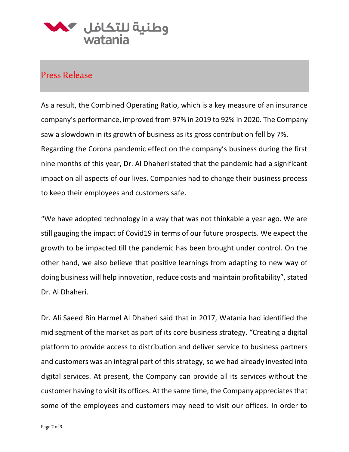

## Press Release

As a result, the Combined Operating Ratio, which is a key measure of an insurance company's performance, improved from 97% in 2019 to 92% in 2020. The Company saw a slowdown in its growth of business as its gross contribution fell by 7%. Regarding the Corona pandemic effect on the company's business during the first nine months of this year, Dr. Al Dhaheri stated that the pandemic had a significant impact on all aspects of our lives. Companies had to change their business process to keep their employees and customers safe.

"We have adopted technology in a way that was not thinkable a year ago. We are still gauging the impact of Covid19 in terms of our future prospects. We expect the growth to be impacted till the pandemic has been brought under control. On the other hand, we also believe that positive learnings from adapting to new way of doing business will help innovation, reduce costs and maintain profitability", stated Dr. Al Dhaheri.

Dr. Ali Saeed Bin Harmel Al Dhaheri said that in 2017, Watania had identified the mid segment of the market as part of its core business strategy. "Creating a digital platform to provide access to distribution and deliver service to business partners and customers was an integral part of this strategy, so we had already invested into digital services. At present, the Company can provide all its services without the customer having to visit its offices. At the same time, the Company appreciates that some of the employees and customers may need to visit our offices. In order to